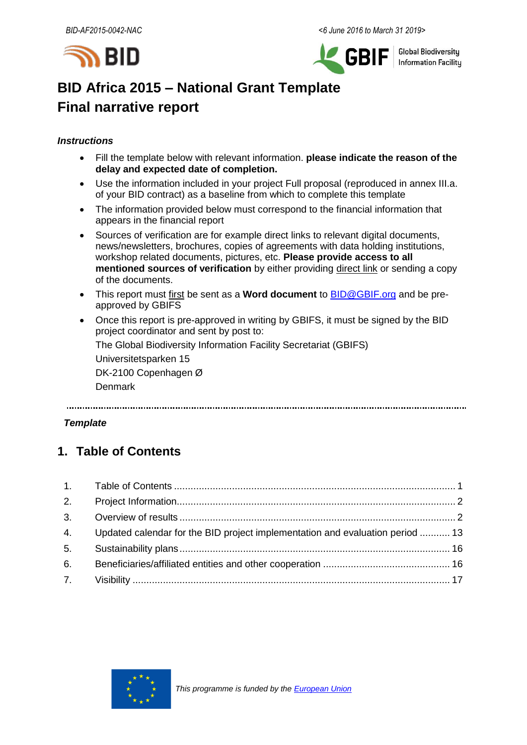



**Global Biodiversity Information Facilitu** 

# **BID Africa 2015 – National Grant Template Final narrative report**

## *Instructions*

- Fill the template below with relevant information. **please indicate the reason of the delay and expected date of completion.**
- Use the information included in your project Full proposal (reproduced in annex III.a. of your BID contract) as a baseline from which to complete this template
- The information provided below must correspond to the financial information that appears in the financial report
- Sources of verification are for example direct links to relevant digital documents, news/newsletters, brochures, copies of agreements with data holding institutions, workshop related documents, pictures, etc. **Please provide access to all mentioned sources of verification** by either providing direct link or sending a copy of the documents.
- This report must first be sent as a **Word document** to **BID@GBIF.org** and be preapproved by GBIFS
- Once this report is pre-approved in writing by GBIFS, it must be signed by the BID project coordinator and sent by post to:

The Global Biodiversity Information Facility Secretariat (GBIFS)

Universitetsparken 15 DK-2100 Copenhagen Ø

Denmark

## *Template*

# <span id="page-0-0"></span>**1. Table of Contents**

|    | 4. Updated calendar for the BID project implementation and evaluation period  13 |  |
|----|----------------------------------------------------------------------------------|--|
| 5. |                                                                                  |  |
| 6. |                                                                                  |  |
|    |                                                                                  |  |

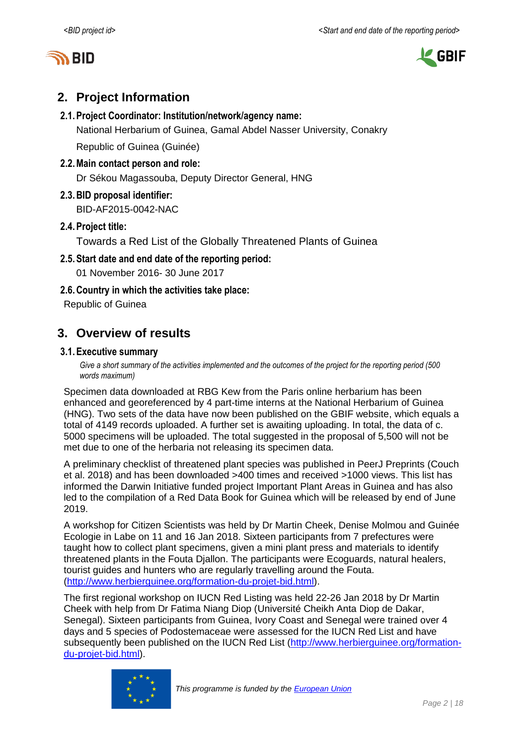



# <span id="page-1-0"></span>**2. Project Information**

### **2.1.Project Coordinator: Institution/network/agency name:**

National Herbarium of Guinea, Gamal Abdel Nasser University, Conakry

Republic of Guinea (Guinée)

## **2.2.Main contact person and role:**

Dr Sékou Magassouba, Deputy Director General, HNG

# **2.3.BID proposal identifier:**

BID-AF2015-0042-NAC

# **2.4.Project title:**

Towards a Red List of the Globally Threatened Plants of Guinea

# **2.5.Start date and end date of the reporting period:**

01 November 2016- 30 June 2017

**2.6.Country in which the activities take place:**

Republic of Guinea

# <span id="page-1-1"></span>**3. Overview of results**

### **3.1.Executive summary**

Give a short summary of the activities implemented and the outcomes of the project for the *reporting period (500 words maximum)*

Specimen data downloaded at RBG Kew from the Paris online herbarium has been enhanced and georeferenced by 4 part-time interns at the National Herbarium of Guinea (HNG). Two sets of the data have now been published on the GBIF website, which equals a total of 4149 records uploaded. A further set is awaiting uploading. In total, the data of c. 5000 specimens will be uploaded. The total suggested in the proposal of 5,500 will not be met due to one of the herbaria not releasing its specimen data.

A preliminary checklist of threatened plant species was published in PeerJ Preprints (Couch et al. 2018) and has been downloaded >400 times and received >1000 views. This list has informed the Darwin Initiative funded project Important Plant Areas in Guinea and has also led to the compilation of a Red Data Book for Guinea which will be released by end of June 2019.

A workshop for Citizen Scientists was held by Dr Martin Cheek, Denise Molmou and Guinée Ecologie in Labe on 11 and 16 Jan 2018. Sixteen participants from 7 prefectures were taught how to collect plant specimens, given a mini plant press and materials to identify threatened plants in the Fouta Djallon. The participants were Ecoguards, natural healers, tourist guides and hunters who are regularly travelling around the Fouta. [\(http://www.herbierguinee.org/formation-du-projet-bid.html\)](http://www.herbierguinee.org/formation-du-projet-bid.html).

The first regional workshop on IUCN Red Listing was held 22-26 Jan 2018 by Dr Martin Cheek with help from Dr Fatima Niang Diop (Université Cheikh Anta Diop de Dakar, Senegal). Sixteen participants from Guinea, Ivory Coast and Senegal were trained over 4 days and 5 species of Podostemaceae were assessed for the IUCN Red List and have subsequently been published on the IUCN Red List [\(http://www.herbierguinee.org/formation](http://www.herbierguinee.org/formation-du-projet-bid.html)[du-projet-bid.html\)](http://www.herbierguinee.org/formation-du-projet-bid.html).

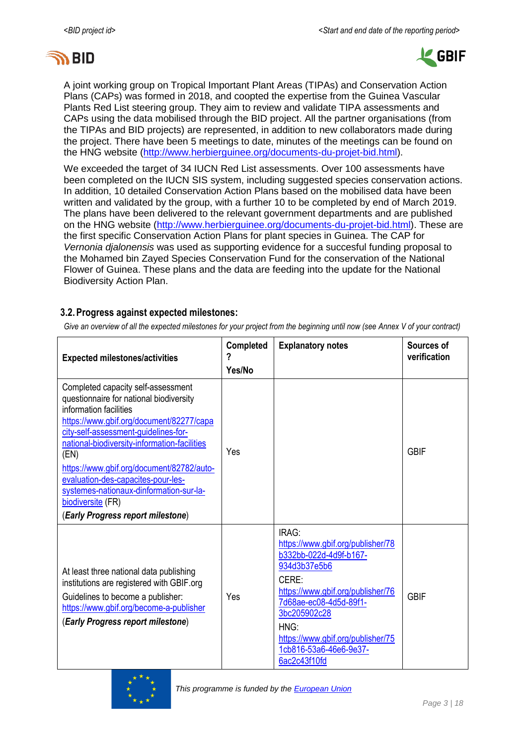

 $\mathbf{r}$ 



A joint working group on Tropical Important Plant Areas (TIPAs) and Conservation Action Plans (CAPs) was formed in 2018, and coopted the expertise from the Guinea Vascular Plants Red List steering group. They aim to review and validate TIPA assessments and CAPs using the data mobilised through the BID project. All the partner organisations (from the TIPAs and BID projects) are represented, in addition to new collaborators made during the project. There have been 5 meetings to date, minutes of the meetings can be found on the HNG website [\(http://www.herbierguinee.org/documents-du-projet-bid.html\)](http://www.herbierguinee.org/documents-du-projet-bid.html).

We exceeded the target of 34 IUCN Red List assessments. Over 100 assessments have been completed on the IUCN SIS system, including suggested species conservation actions. In addition, 10 detailed Conservation Action Plans based on the mobilised data have been written and validated by the group, with a further 10 to be completed by end of March 2019. The plans have been delivered to the relevant government departments and are published on the HNG website [\(http://www.herbierguinee.org/documents-du-projet-bid.html\)](http://www.herbierguinee.org/documents-du-projet-bid.html). These are the first specific Conservation Action Plans for plant species in Guinea. The CAP for *Vernonia djalonensis* was used as supporting evidence for a succesful funding proposal to the Mohamed bin Zayed Species Conservation Fund for the conservation of the National Flower of Guinea. These plans and the data are feeding into the update for the National Biodiversity Action Plan.

# **3.2.Progress against expected milestones:**

| <b>Expected milestones/activities</b>                                                                                                                                                                                                                                                                                                                                                                                                       | <b>Completed</b><br>Yes/No | <b>Explanatory notes</b>                                                                                                                                                                                                                                            | Sources of<br>verification |
|---------------------------------------------------------------------------------------------------------------------------------------------------------------------------------------------------------------------------------------------------------------------------------------------------------------------------------------------------------------------------------------------------------------------------------------------|----------------------------|---------------------------------------------------------------------------------------------------------------------------------------------------------------------------------------------------------------------------------------------------------------------|----------------------------|
| Completed capacity self-assessment<br>questionnaire for national biodiversity<br>information facilities<br>https://www.gbif.org/document/82277/capa<br>city-self-assessment-guidelines-for-<br>national-biodiversity-information-facilities<br>(EN)<br>https://www.gbif.org/document/82782/auto-<br>evaluation-des-capacites-pour-les-<br>systemes-nationaux-dinformation-sur-la-<br>biodiversite (FR)<br>(Early Progress report milestone) | Yes                        |                                                                                                                                                                                                                                                                     | <b>GBIF</b>                |
| At least three national data publishing<br>institutions are registered with GBIF.org<br>Guidelines to become a publisher:<br>https://www.gbif.org/become-a-publisher<br>(Early Progress report milestone)                                                                                                                                                                                                                                   | Yes                        | IRAG:<br>https://www.gbif.org/publisher/78<br>b332bb-022d-4d9f-b167-<br>934d3b37e5b6<br>CERE:<br>https://www.gbif.org/publisher/76<br>7d68ae-ec08-4d5d-89f1-<br>3bc205902c28<br>HNG:<br>https://www.gbif.org/publisher/75<br>1cb816-53a6-46e6-9e37-<br>6ac2c43f10fd | <b>GBIF</b>                |

*Give an overview of all the expected milestones for your project from the beginning until now (see Annex V of your contract)*

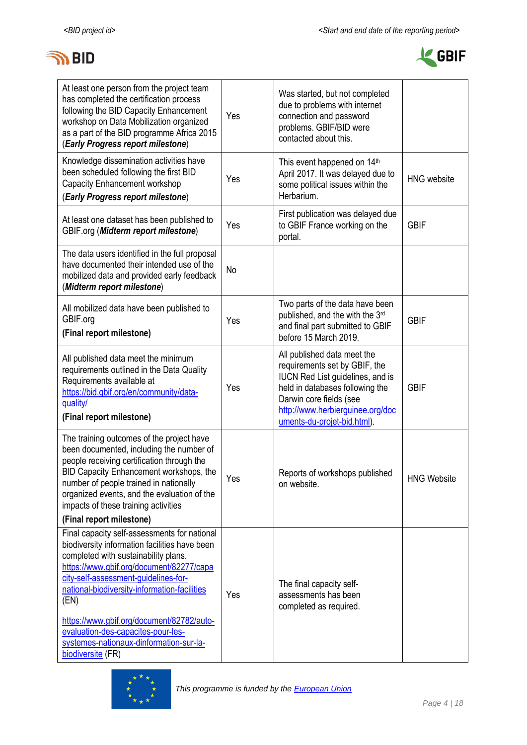



| At least one person from the project team<br>has completed the certification process<br>following the BID Capacity Enhancement<br>workshop on Data Mobilization organized<br>as a part of the BID programme Africa 2015<br>(Early Progress report milestone)                                                                                                                                                                         | Yes | Was started, but not completed<br>due to problems with internet<br>connection and password<br>problems. GBIF/BID were<br>contacted about this.                                                                                           |                    |
|--------------------------------------------------------------------------------------------------------------------------------------------------------------------------------------------------------------------------------------------------------------------------------------------------------------------------------------------------------------------------------------------------------------------------------------|-----|------------------------------------------------------------------------------------------------------------------------------------------------------------------------------------------------------------------------------------------|--------------------|
| Knowledge dissemination activities have<br>been scheduled following the first BID<br>Capacity Enhancement workshop<br>(Early Progress report milestone)                                                                                                                                                                                                                                                                              | Yes | This event happened on 14 <sup>th</sup><br>April 2017. It was delayed due to<br>some political issues within the<br>Herbarium.                                                                                                           | <b>HNG</b> website |
| At least one dataset has been published to<br>GBIF.org (Midterm report milestone)                                                                                                                                                                                                                                                                                                                                                    | Yes | First publication was delayed due<br>to GBIF France working on the<br>portal.                                                                                                                                                            | <b>GBIF</b>        |
| The data users identified in the full proposal<br>have documented their intended use of the<br>mobilized data and provided early feedback<br>(Midterm report milestone)                                                                                                                                                                                                                                                              | No  |                                                                                                                                                                                                                                          |                    |
| All mobilized data have been published to<br>GBIF.org<br>(Final report milestone)                                                                                                                                                                                                                                                                                                                                                    | Yes | Two parts of the data have been<br>published, and the with the 3rd<br>and final part submitted to GBIF<br>before 15 March 2019.                                                                                                          | <b>GBIF</b>        |
| All published data meet the minimum<br>requirements outlined in the Data Quality<br>Requirements available at<br>https://bid.gbif.org/en/community/data-<br>quality/<br>(Final report milestone)                                                                                                                                                                                                                                     | Yes | All published data meet the<br>requirements set by GBIF, the<br><b>IUCN Red List guidelines, and is</b><br>held in databases following the<br>Darwin core fields (see<br>http://www.herbierguinee.org/doc<br>uments-du-projet-bid.html). | <b>GBIF</b>        |
| The training outcomes of the project have<br>been documented, including the number of<br>people receiving certification through the<br>BID Capacity Enhancement workshops, the<br>number of people trained in nationally<br>organized events, and the evaluation of the<br>impacts of these training activities<br>(Final report milestone)                                                                                          | Yes | Reports of workshops published<br>on website.                                                                                                                                                                                            | <b>HNG Website</b> |
| Final capacity self-assessments for national<br>biodiversity information facilities have been<br>completed with sustainability plans.<br>https://www.gbif.org/document/82277/capa<br>city-self-assessment-guidelines-for-<br>national-biodiversity-information-facilities<br>(EN)<br>https://www.gbif.org/document/82782/auto-<br>evaluation-des-capacites-pour-les-<br>systemes-nationaux-dinformation-sur-la-<br>biodiversite (FR) | Yes | The final capacity self-<br>assessments has been<br>completed as required.                                                                                                                                                               |                    |

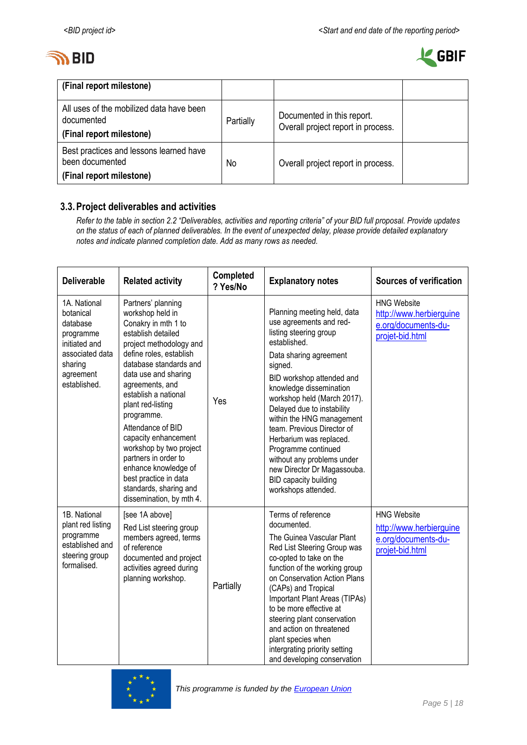



| (Final report milestone)                                                               |           |                                                                  |  |
|----------------------------------------------------------------------------------------|-----------|------------------------------------------------------------------|--|
| All uses of the mobilized data have been<br>documented<br>(Final report milestone)     | Partially | Documented in this report.<br>Overall project report in process. |  |
| Best practices and lessons learned have<br>been documented<br>(Final report milestone) | No        | Overall project report in process.                               |  |

# **3.3.Project deliverables and activities**

*Refer to the table in section 2.2 "Deliverables, activities and reporting criteria" of your BID full proposal. Provide updates on the status of each of planned deliverables. In the event of unexpected delay, please provide detailed explanatory notes and indicate planned completion date. Add as many rows as needed.*

| <b>Deliverable</b>                                                                                                             | <b>Related activity</b>                                                                                                                                                                                                                                                                                                                                                                                                                                                          | <b>Completed</b><br>? Yes/No | <b>Explanatory notes</b>                                                                                                                                                                                                                                                                                                                                                                                                                                                             | <b>Sources of verification</b>                                                          |
|--------------------------------------------------------------------------------------------------------------------------------|----------------------------------------------------------------------------------------------------------------------------------------------------------------------------------------------------------------------------------------------------------------------------------------------------------------------------------------------------------------------------------------------------------------------------------------------------------------------------------|------------------------------|--------------------------------------------------------------------------------------------------------------------------------------------------------------------------------------------------------------------------------------------------------------------------------------------------------------------------------------------------------------------------------------------------------------------------------------------------------------------------------------|-----------------------------------------------------------------------------------------|
| 1A. National<br>botanical<br>database<br>programme<br>initiated and<br>associated data<br>sharing<br>agreement<br>established. | Partners' planning<br>workshop held in<br>Conakry in mth 1 to<br>establish detailed<br>project methodology and<br>define roles, establish<br>database standards and<br>data use and sharing<br>agreements, and<br>establish a national<br>plant red-listing<br>programme.<br>Attendance of BID<br>capacity enhancement<br>workshop by two project<br>partners in order to<br>enhance knowledge of<br>best practice in data<br>standards, sharing and<br>dissemination, by mth 4. | Yes                          | Planning meeting held, data<br>use agreements and red-<br>listing steering group<br>established.<br>Data sharing agreement<br>signed.<br>BID workshop attended and<br>knowledge dissemination<br>workshop held (March 2017).<br>Delayed due to instability<br>within the HNG management<br>team. Previous Director of<br>Herbarium was replaced.<br>Programme continued<br>without any problems under<br>new Director Dr Magassouba.<br>BID capacity building<br>workshops attended. | <b>HNG Website</b><br>http://www.herbierguine<br>e.org/documents-du-<br>projet-bid.html |
| 1B. National<br>plant red listing<br>programme<br>established and<br>steering group<br>formalised.                             | [see 1A above]<br>Red List steering group<br>members agreed, terms<br>of reference<br>documented and project<br>activities agreed during<br>planning workshop.                                                                                                                                                                                                                                                                                                                   | Partially                    | Terms of reference<br>documented.<br>The Guinea Vascular Plant<br>Red List Steering Group was<br>co-opted to take on the<br>function of the working group<br>on Conservation Action Plans<br>(CAPs) and Tropical<br>Important Plant Areas (TIPAs)<br>to be more effective at<br>steering plant conservation<br>and action on threatened<br>plant species when<br>intergrating priority setting<br>and developing conservation                                                        | <b>HNG Website</b><br>http://www.herbierguine<br>e.org/documents-du-<br>projet-bid.html |

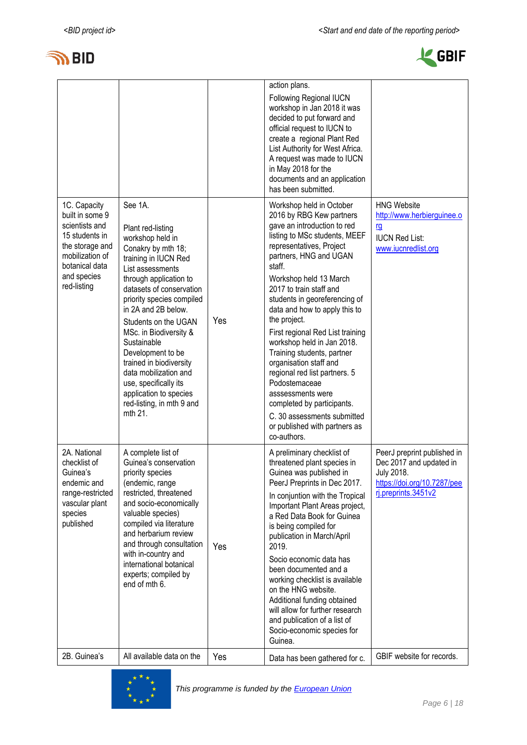



|                                                                                                                                                           |                                                                                                                                                                                                                                                                                                                                                                                                                                                                   |     | action plans.<br>Following Regional IUCN<br>workshop in Jan 2018 it was<br>decided to put forward and<br>official request to IUCN to<br>create a regional Plant Red<br>List Authority for West Africa.<br>A request was made to IUCN<br>in May 2018 for the<br>documents and an application<br>has been submitted.                                                                                                                                                                                                                                                                                                                        |                                                                                                                            |
|-----------------------------------------------------------------------------------------------------------------------------------------------------------|-------------------------------------------------------------------------------------------------------------------------------------------------------------------------------------------------------------------------------------------------------------------------------------------------------------------------------------------------------------------------------------------------------------------------------------------------------------------|-----|-------------------------------------------------------------------------------------------------------------------------------------------------------------------------------------------------------------------------------------------------------------------------------------------------------------------------------------------------------------------------------------------------------------------------------------------------------------------------------------------------------------------------------------------------------------------------------------------------------------------------------------------|----------------------------------------------------------------------------------------------------------------------------|
| 1C. Capacity<br>built in some 9<br>scientists and<br>15 students in<br>the storage and<br>mobilization of<br>botanical data<br>and species<br>red-listing | See 1A.<br>Plant red-listing<br>workshop held in<br>Conakry by mth 18;<br>training in IUCN Red<br>List assessments<br>through application to<br>datasets of conservation<br>priority species compiled<br>in 2A and 2B below.<br>Students on the UGAN<br>MSc. in Biodiversity &<br>Sustainable<br>Development to be<br>trained in biodiversity<br>data mobilization and<br>use, specifically its<br>application to species<br>red-listing, in mth 9 and<br>mth 21. | Yes | Workshop held in October<br>2016 by RBG Kew partners<br>gave an introduction to red<br>listing to MSc students, MEEF<br>representatives, Project<br>partners, HNG and UGAN<br>staff.<br>Workshop held 13 March<br>2017 to train staff and<br>students in georeferencing of<br>data and how to apply this to<br>the project.<br>First regional Red List training<br>workshop held in Jan 2018.<br>Training students, partner<br>organisation staff and<br>regional red list partners. 5<br>Podostemaceae<br>asssessments were<br>completed by participants.<br>C. 30 assessments submitted<br>or published with partners as<br>co-authors. | <b>HNG Website</b><br>http://www.herbierguinee.o<br>rg<br><b>IUCN Red List:</b><br>www.iucnredlist.org                     |
| 2A. National<br>checklist of<br>Guinea's<br>endemic and<br>range-restricted<br>vascular plant<br>species<br>published                                     | A complete list of<br>Guinea's conservation<br>priority species<br>(endemic, range<br>restricted, threatened<br>and socio-economically<br>valuable species)<br>compiled via literature<br>and herbarium review<br>and through consultation<br>with in-country and<br>international botanical<br>experts; compiled by<br>end of mth 6.                                                                                                                             | Yes | A preliminary checklist of<br>threatened plant species in<br>Guinea was published in<br>PeerJ Preprints in Dec 2017.<br>In conjuntion with the Tropical<br>Important Plant Areas project,<br>a Red Data Book for Guinea<br>is being compiled for<br>publication in March/April<br>2019.<br>Socio economic data has<br>been documented and a<br>working checklist is available<br>on the HNG website.<br>Additional funding obtained<br>will allow for further research<br>and publication of a list of<br>Socio-economic species for<br>Guinea.                                                                                           | PeerJ preprint published in<br>Dec 2017 and updated in<br>July 2018.<br>https://doi.org/10.7287/pee<br>rj.preprints.3451v2 |
| 2B. Guinea's                                                                                                                                              | All available data on the                                                                                                                                                                                                                                                                                                                                                                                                                                         | Yes | Data has been gathered for c.                                                                                                                                                                                                                                                                                                                                                                                                                                                                                                                                                                                                             | GBIF website for records.                                                                                                  |

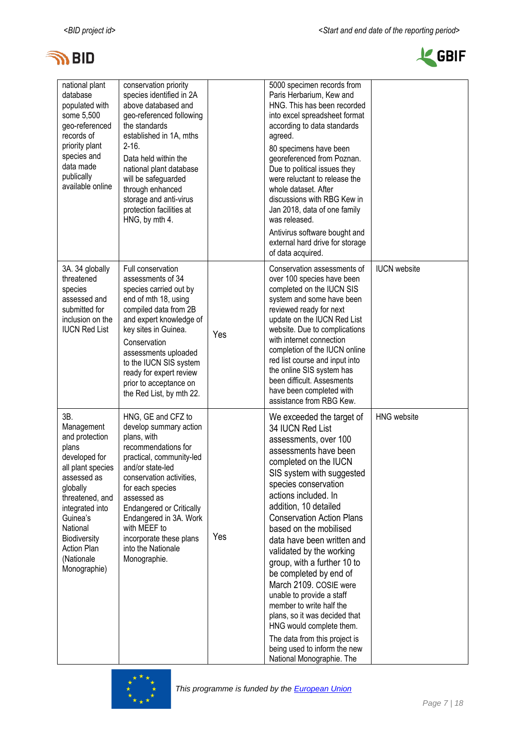# **IN BID**



| national plant<br>database<br>populated with<br>some 5,500<br>geo-referenced<br>records of<br>priority plant<br>species and<br>data made<br>publically<br>available online                                                                             | conservation priority<br>species identified in 2A<br>above databased and<br>geo-referenced following<br>the standards<br>established in 1A, mths<br>$2 - 16.$<br>Data held within the<br>national plant database<br>will be safeguarded<br>through enhanced<br>storage and anti-virus<br>protection facilities at<br>HNG, by mth 4.             |     | 5000 specimen records from<br>Paris Herbarium, Kew and<br>HNG. This has been recorded<br>into excel spreadsheet format<br>according to data standards<br>agreed.<br>80 specimens have been<br>georeferenced from Poznan.<br>Due to political issues they<br>were reluctant to release the<br>whole dataset. After<br>discussions with RBG Kew in<br>Jan 2018, data of one family<br>was released.<br>Antivirus software bought and                                                                                                                                                                                                                            |                     |
|--------------------------------------------------------------------------------------------------------------------------------------------------------------------------------------------------------------------------------------------------------|-------------------------------------------------------------------------------------------------------------------------------------------------------------------------------------------------------------------------------------------------------------------------------------------------------------------------------------------------|-----|---------------------------------------------------------------------------------------------------------------------------------------------------------------------------------------------------------------------------------------------------------------------------------------------------------------------------------------------------------------------------------------------------------------------------------------------------------------------------------------------------------------------------------------------------------------------------------------------------------------------------------------------------------------|---------------------|
|                                                                                                                                                                                                                                                        |                                                                                                                                                                                                                                                                                                                                                 |     | external hard drive for storage<br>of data acquired.                                                                                                                                                                                                                                                                                                                                                                                                                                                                                                                                                                                                          |                     |
| 3A. 34 globally<br>threatened<br>species<br>assessed and<br>submitted for<br>inclusion on the<br><b>IUCN Red List</b>                                                                                                                                  | Full conservation<br>assessments of 34<br>species carried out by<br>end of mth 18, using<br>compiled data from 2B<br>and expert knowledge of<br>key sites in Guinea.<br>Conservation<br>assessments uploaded<br>to the IUCN SIS system<br>ready for expert review<br>prior to acceptance on<br>the Red List, by mth 22.                         | Yes | Conservation assessments of<br>over 100 species have been<br>completed on the IUCN SIS<br>system and some have been<br>reviewed ready for next<br>update on the IUCN Red List<br>website. Due to complications<br>with internet connection<br>completion of the IUCN online<br>red list course and input into<br>the online SIS system has<br>been difficult. Assesments<br>have been completed with<br>assistance from RBG Kew.                                                                                                                                                                                                                              | <b>IUCN</b> website |
| 3B.<br>Management<br>and protection<br>plans<br>developed for<br>all plant species<br>assessed as<br>globally<br>threatened, and<br>integrated into<br>Guinea's<br>National<br><b>Biodiversity</b><br><b>Action Plan</b><br>(Nationale<br>Monographie) | HNG, GE and CFZ to<br>develop summary action<br>plans, with<br>recommendations for<br>practical, community-led<br>and/or state-led<br>conservation activities,<br>for each species<br>assessed as<br><b>Endangered or Critically</b><br>Endangered in 3A. Work<br>with MEEF to<br>incorporate these plans<br>into the Nationale<br>Monographie. | Yes | We exceeded the target of<br>34 IUCN Red List<br>assessments, over 100<br>assessments have been<br>completed on the IUCN<br>SIS system with suggested<br>species conservation<br>actions included. In<br>addition, 10 detailed<br><b>Conservation Action Plans</b><br>based on the mobilised<br>data have been written and<br>validated by the working<br>group, with a further 10 to<br>be completed by end of<br>March 2109. COSIE were<br>unable to provide a staff<br>member to write half the<br>plans, so it was decided that<br>HNG would complete them.<br>The data from this project is<br>being used to inform the new<br>National Monographie. The | <b>HNG</b> website  |

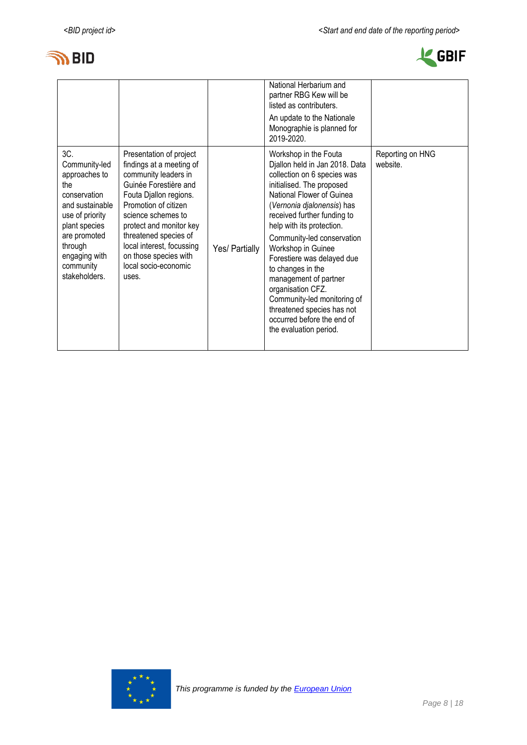



|                                                                                                                                                                                                                                                                                                                                                                                                                                                                                                                                            | National Herbarium and                                                                                                                                                                                                                                                                                                                                                                                                                                                                                               |                              |
|--------------------------------------------------------------------------------------------------------------------------------------------------------------------------------------------------------------------------------------------------------------------------------------------------------------------------------------------------------------------------------------------------------------------------------------------------------------------------------------------------------------------------------------------|----------------------------------------------------------------------------------------------------------------------------------------------------------------------------------------------------------------------------------------------------------------------------------------------------------------------------------------------------------------------------------------------------------------------------------------------------------------------------------------------------------------------|------------------------------|
|                                                                                                                                                                                                                                                                                                                                                                                                                                                                                                                                            | partner RBG Kew will be                                                                                                                                                                                                                                                                                                                                                                                                                                                                                              |                              |
|                                                                                                                                                                                                                                                                                                                                                                                                                                                                                                                                            | listed as contributers.                                                                                                                                                                                                                                                                                                                                                                                                                                                                                              |                              |
|                                                                                                                                                                                                                                                                                                                                                                                                                                                                                                                                            | An update to the Nationale<br>Monographie is planned for<br>2019-2020.                                                                                                                                                                                                                                                                                                                                                                                                                                               |                              |
| 3C.<br>Presentation of project<br>Community-led<br>findings at a meeting of<br>community leaders in<br>approaches to<br>Guinée Forestière and<br>the<br>conservation<br>Fouta Djallon regions.<br>Promotion of citizen<br>and sustainable<br>science schemes to<br>use of priority<br>plant species<br>protect and monitor key<br>threatened species of<br>are promoted<br>local interest, focussing<br>through<br>Yes/ Partially<br>on those species with<br>engaging with<br>local socio-economic<br>community<br>stakeholders.<br>uses. | Workshop in the Fouta<br>Djallon held in Jan 2018. Data<br>collection on 6 species was<br>initialised. The proposed<br>National Flower of Guinea<br>(Vernonia djalonensis) has<br>received further funding to<br>help with its protection.<br>Community-led conservation<br>Workshop in Guinee<br>Forestiere was delayed due<br>to changes in the<br>management of partner<br>organisation CFZ.<br>Community-led monitoring of<br>threatened species has not<br>occurred before the end of<br>the evaluation period. | Reporting on HNG<br>website. |

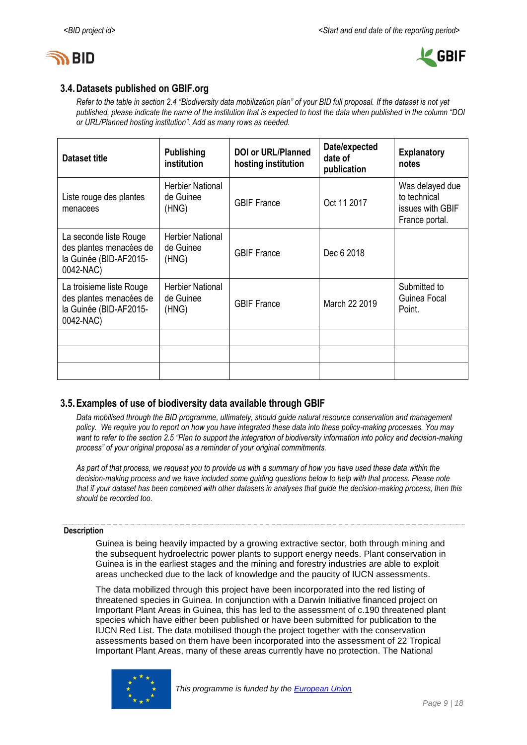



# **3.4.Datasets published on GBIF.org**

*Refer to the table in section 2.4 "Biodiversity data mobilization plan" of your BID full proposal. If the dataset is not yet published, please indicate the name of the institution that is expected to host the data when published in the column "DOI or URL/Planned hosting institution". Add as many rows as needed.*

| Dataset title                                                                              | <b>Publishing</b><br>institution              | <b>DOI or URL/Planned</b><br>hosting institution | Date/expected<br>date of<br>publication | <b>Explanatory</b><br>notes                                           |
|--------------------------------------------------------------------------------------------|-----------------------------------------------|--------------------------------------------------|-----------------------------------------|-----------------------------------------------------------------------|
| Liste rouge des plantes<br>menacees                                                        | Herbier National<br>de Guinee<br>(HNG)        | <b>GBIF France</b>                               | Oct 11 2017                             | Was delayed due<br>to technical<br>issues with GBIF<br>France portal. |
| La seconde liste Rouge<br>des plantes menacées de<br>la Guinée (BID-AF2015-<br>0042-NAC)   | <b>Herbier National</b><br>de Guinee<br>(HNG) | <b>GBIF France</b>                               | Dec 6 2018                              |                                                                       |
| La troisieme liste Rouge<br>des plantes menacées de<br>la Guinée (BID-AF2015-<br>0042-NAC) | <b>Herbier National</b><br>de Guinee<br>(HNG) | <b>GBIF France</b>                               | March 22 2019                           | Submitted to<br>Guinea Focal<br>Point.                                |
|                                                                                            |                                               |                                                  |                                         |                                                                       |
|                                                                                            |                                               |                                                  |                                         |                                                                       |
|                                                                                            |                                               |                                                  |                                         |                                                                       |

## **3.5.Examples of use of biodiversity data available through GBIF**

*Data mobilised through the BID programme, ultimately, should guide natural resource conservation and management policy. We require you to report on how you have integrated these data into these policy-making processes. You may want to refer to the section 2.5 "Plan to support the integration of biodiversity information into policy and decision-making process" of your original proposal as a reminder of your original commitments.* 

*As part of that process, we request you to provide us with a summary of how you have used these data within the decision-making process and we have included some guiding questions below to help with that process. Please note that if your dataset has been combined with other datasets in analyses that guide the decision-making process, then this should be recorded too.* 

#### **Description**

Guinea is being heavily impacted by a growing extractive sector, both through mining and the subsequent hydroelectric power plants to support energy needs. Plant conservation in Guinea is in the earliest stages and the mining and forestry industries are able to exploit areas unchecked due to the lack of knowledge and the paucity of IUCN assessments.

The data mobilized through this project have been incorporated into the red listing of threatened species in Guinea. In conjunction with a Darwin Initiative financed project on Important Plant Areas in Guinea, this has led to the assessment of c.190 threatened plant species which have either been published or have been submitted for publication to the IUCN Red List. The data mobilised though the project together with the conservation assessments based on them have been incorporated into the assessment of 22 Tropical Important Plant Areas, many of these areas currently have no protection. The National

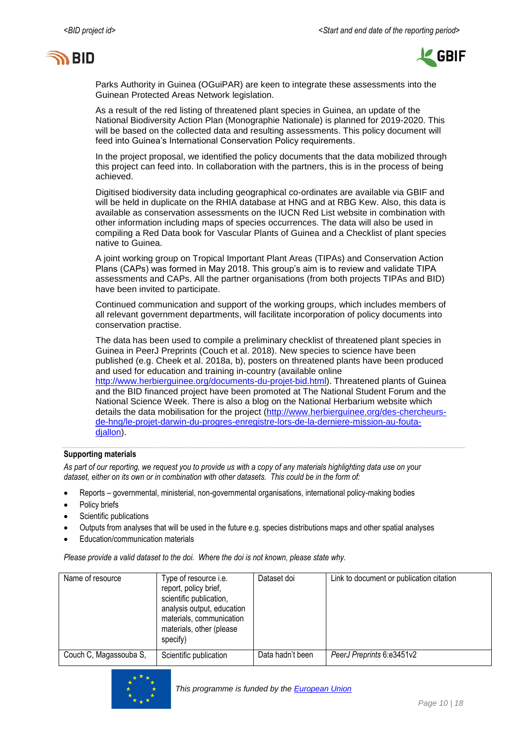



Parks Authority in Guinea (OGuiPAR) are keen to integrate these assessments into the Guinean Protected Areas Network legislation.

As a result of the red listing of threatened plant species in Guinea, an update of the National Biodiversity Action Plan (Monographie Nationale) is planned for 2019-2020. This will be based on the collected data and resulting assessments. This policy document will feed into Guinea's International Conservation Policy requirements.

In the project proposal, we identified the policy documents that the data mobilized through this project can feed into. In collaboration with the partners, this is in the process of being achieved.

Digitised biodiversity data including geographical co-ordinates are available via GBIF and will be held in duplicate on the RHIA database at HNG and at RBG Kew. Also, this data is available as conservation assessments on the IUCN Red List website in combination with other information including maps of species occurrences. The data will also be used in compiling a Red Data book for Vascular Plants of Guinea and a Checklist of plant species native to Guinea.

A joint working group on Tropical Important Plant Areas (TIPAs) and Conservation Action Plans (CAPs) was formed in May 2018. This group's aim is to review and validate TIPA assessments and CAPs. All the partner organisations (from both projects TIPAs and BID) have been invited to participate.

Continued communication and support of the working groups, which includes members of all relevant government departments, will facilitate incorporation of policy documents into conservation practise.

The data has been used to compile a preliminary checklist of threatened plant species in Guinea in PeerJ Preprints (Couch et al. 2018). New species to science have been published (e.g. Cheek et al. 2018a, b), posters on threatened plants have been produced and used for education and training in-country (available online

[http://www.herbierguinee.org/documents-du-projet-bid.html\)](http://www.herbierguinee.org/documents-du-projet-bid.html). Threatened plants of Guinea and the BID financed project have been promoted at The National Student Forum and the National Science Week. There is also a blog on the National Herbarium website which details the data mobilisation for the project [\(http://www.herbierguinee.org/des-chercheurs](http://www.herbierguinee.org/des-chercheurs-de-hng/le-projet-darwin-du-progres-enregistre-lors-de-la-derniere-mission-au-fouta-djallon)[de-hng/le-projet-darwin-du-progres-enregistre-lors-de-la-derniere-mission-au-fouta](http://www.herbierguinee.org/des-chercheurs-de-hng/le-projet-darwin-du-progres-enregistre-lors-de-la-derniere-mission-au-fouta-djallon)diallon).

#### **Supporting materials**

*As part of our reporting, we request you to provide us with a copy of any materials highlighting data use on your dataset, either on its own or in combination with other datasets. This could be in the form of:*

- Reports governmental, ministerial, non-governmental organisations, international policy-making bodies
- Policy briefs
- Scientific publications
- Outputs from analyses that will be used in the future e.g. species distributions maps and other spatial analyses
- Education/communication materials

*Please provide a valid dataset to the doi. Where the doi is not known, please state why.*

| Name of resource       | Type of resource i.e.<br>report, policy brief,<br>scientific publication,<br>analysis output, education<br>materials, communication<br>materials, other (please<br>specify) | Dataset doi      | Link to document or publication citation |
|------------------------|-----------------------------------------------------------------------------------------------------------------------------------------------------------------------------|------------------|------------------------------------------|
| Couch C, Magassouba S, | Scientific publication                                                                                                                                                      | Data hadn't been | PeerJ Preprints 6:e3451v2                |

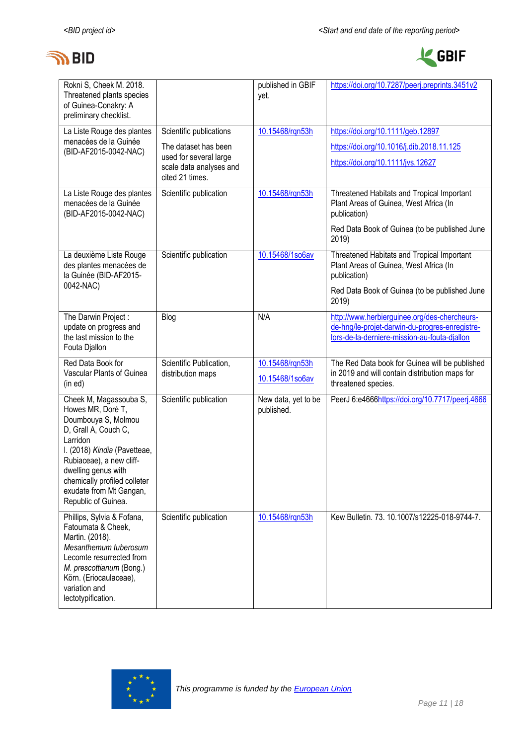



| Rokni S, Cheek M. 2018.<br>Threatened plants species<br>of Guinea-Conakry: A<br>preliminary checklist.                                                                                                                                                                      |                                                                      | published in GBIF<br>yet.          | https://doi.org/10.7287/peerj.preprints.3451v2                                                                                                 |
|-----------------------------------------------------------------------------------------------------------------------------------------------------------------------------------------------------------------------------------------------------------------------------|----------------------------------------------------------------------|------------------------------------|------------------------------------------------------------------------------------------------------------------------------------------------|
| La Liste Rouge des plantes<br>menacées de la Guinée                                                                                                                                                                                                                         | Scientific publications<br>The dataset has been                      | 10.15468/rgn53h                    | https://doi.org/10.1111/geb.12897<br>https://doi.org/10.1016/j.dib.2018.11.125                                                                 |
| (BID-AF2015-0042-NAC)                                                                                                                                                                                                                                                       | used for several large<br>scale data analyses and<br>cited 21 times. |                                    | https://doi.org/10.1111/jvs.12627                                                                                                              |
| La Liste Rouge des plantes<br>menacées de la Guinée<br>(BID-AF2015-0042-NAC)                                                                                                                                                                                                | Scientific publication                                               | 10.15468/rqn53h                    | Threatened Habitats and Tropical Important<br>Plant Areas of Guinea, West Africa (In<br>publication)                                           |
|                                                                                                                                                                                                                                                                             |                                                                      |                                    | Red Data Book of Guinea (to be published June<br>2019)                                                                                         |
| La deuxième Liste Rouge<br>des plantes menacées de<br>la Guinée (BID-AF2015-                                                                                                                                                                                                | Scientific publication                                               | 10.15468/1so6av                    | Threatened Habitats and Tropical Important<br>Plant Areas of Guinea, West Africa (In<br>publication)                                           |
| 0042-NAC)                                                                                                                                                                                                                                                                   |                                                                      |                                    | Red Data Book of Guinea (to be published June<br>2019)                                                                                         |
| The Darwin Project:<br>update on progress and<br>the last mission to the<br>Fouta Djallon                                                                                                                                                                                   | Blog                                                                 | N/A                                | http://www.herbierguinee.org/des-chercheurs-<br>de-hng/le-projet-darwin-du-progres-enregistre-<br>lors-de-la-derniere-mission-au-fouta-djallon |
| Red Data Book for<br>Vascular Plants of Guinea<br>(in ed)                                                                                                                                                                                                                   | Scientific Publication,<br>distribution maps                         | 10.15468/rgn53h<br>10.15468/1so6av | The Red Data book for Guinea will be published<br>in 2019 and will contain distribution maps for<br>threatened species.                        |
| Cheek M, Magassouba S,<br>Howes MR, Doré T,<br>Doumbouya S, Molmou<br>D, Grall A, Couch C,<br>Larridon<br>I. (2018) Kindia (Pavetteae,<br>Rubiaceae), a new cliff-<br>dwelling genus with<br>chemically profiled colleter<br>exudate from Mt Gangan,<br>Republic of Guinea. | Scientific publication                                               | New data, yet to be<br>published.  | PeerJ 6:e4666https://doi.org/10.7717/peerj.4666                                                                                                |
| Phillips, Sylvia & Fofana,<br>Fatoumata & Cheek,<br>Martin. (2018).<br>Mesanthemum tuberosum<br>Lecomte resurrected from<br>M. prescottianum (Bong.)<br>Körn. (Eriocaulaceae),<br>variation and<br>lectotypification.                                                       | Scientific publication                                               | 10.15468/rqn53h                    | Kew Bulletin. 73. 10.1007/s12225-018-9744-7.                                                                                                   |

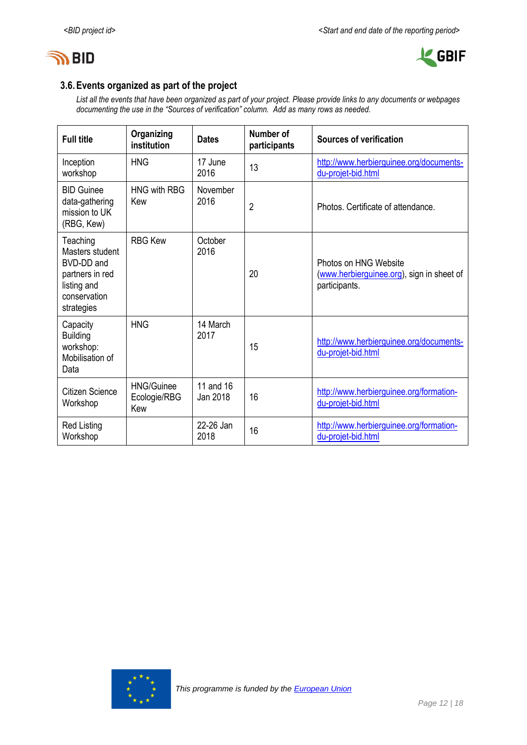



# **3.6.Events organized as part of the project**

*List all the events that have been organized as part of your project. Please provide links to any documents or webpages documenting the use in the "Sources of verification" column. Add as many rows as needed.*

| <b>Full title</b>                                                                                         | Organizing<br>institution                | <b>Dates</b>          | Number of<br>participants | <b>Sources of verification</b>                                                      |
|-----------------------------------------------------------------------------------------------------------|------------------------------------------|-----------------------|---------------------------|-------------------------------------------------------------------------------------|
| Inception<br>workshop                                                                                     | <b>HNG</b>                               | 17 June<br>2016       | 13                        | http://www.herbierguinee.org/documents-<br>du-projet-bid.html                       |
| <b>BID Guinee</b><br>data-gathering<br>mission to UK<br>(RBG, Kew)                                        | <b>HNG with RBG</b><br>Kew               | November<br>2016      | $\overline{2}$            | Photos. Certificate of attendance.                                                  |
| Teaching<br>Masters student<br>BVD-DD and<br>partners in red<br>listing and<br>conservation<br>strategies | <b>RBG Kew</b>                           | October<br>2016       | 20                        | Photos on HNG Website<br>(www.herbierguinee.org), sign in sheet of<br>participants. |
| Capacity<br><b>Building</b><br>workshop:<br>Mobilisation of<br>Data                                       | <b>HNG</b>                               | 14 March<br>2017      | 15                        | http://www.herbierguinee.org/documents-<br>du-projet-bid.html                       |
| Citizen Science<br>Workshop                                                                               | <b>HNG/Guinee</b><br>Ecologie/RBG<br>Kew | 11 and 16<br>Jan 2018 | 16                        | http://www.herbierguinee.org/formation-<br>du-projet-bid.html                       |
| <b>Red Listing</b><br>Workshop                                                                            |                                          | 22-26 Jan<br>2018     | 16                        | http://www.herbierguinee.org/formation-<br>du-projet-bid.html                       |

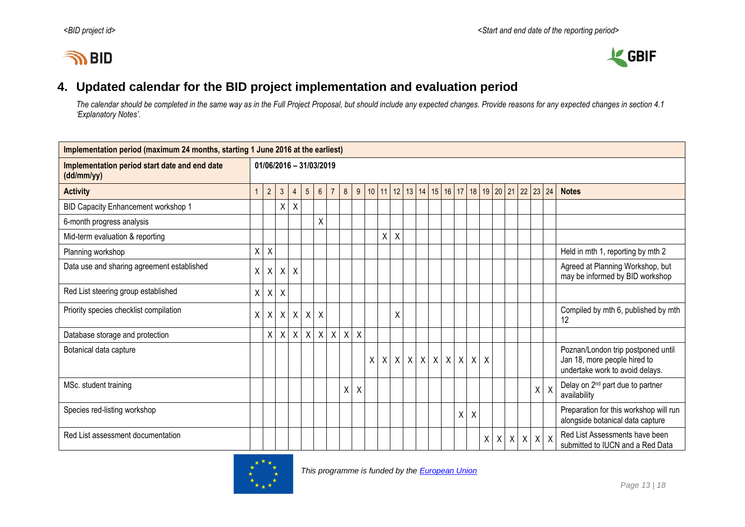# **IN BID**



# **4. Updated calendar for the BID project implementation and evaluation period**

*The calendar should be completed in the same way as in the Full Project Proposal, but should include any expected changes. Provide reasons for any expected changes in section 4.1 'Explanatory Notes'.*

<span id="page-12-0"></span>

| Implementation period (maximum 24 months, starting 1 June 2016 at the earliest) |                                                                                                     |                |                |                  |                  |                           |                |              |                           |    |              |  |         |  |  |                     |              |              |         |         |              |         |         |                                                                                                       |
|---------------------------------------------------------------------------------|-----------------------------------------------------------------------------------------------------|----------------|----------------|------------------|------------------|---------------------------|----------------|--------------|---------------------------|----|--------------|--|---------|--|--|---------------------|--------------|--------------|---------|---------|--------------|---------|---------|-------------------------------------------------------------------------------------------------------|
| Implementation period start date and end date<br>(dd/mm/yy)                     | 01/06/2016 - 31/03/2019<br>10   11   12   13   14   15   16   17   18   19   20   21   22   23   24 |                |                |                  |                  |                           |                |              |                           |    |              |  |         |  |  |                     |              |              |         |         |              |         |         |                                                                                                       |
| <b>Activity</b>                                                                 | $\mathbf{1}$                                                                                        | $\overline{2}$ | 3 <sup>5</sup> | $\overline{4}$   | $5\overline{)}$  | $6\overline{6}$           | $\overline{7}$ | 8            | 9                         |    |              |  |         |  |  |                     |              |              |         |         |              |         |         | <b>Notes</b>                                                                                          |
| BID Capacity Enhancement workshop 1                                             |                                                                                                     |                | X              | $\boldsymbol{X}$ |                  |                           |                |              |                           |    |              |  |         |  |  |                     |              |              |         |         |              |         |         |                                                                                                       |
| 6-month progress analysis                                                       |                                                                                                     |                |                |                  |                  | X                         |                |              |                           |    |              |  |         |  |  |                     |              |              |         |         |              |         |         |                                                                                                       |
| Mid-term evaluation & reporting                                                 |                                                                                                     |                |                |                  |                  |                           |                |              |                           |    | X            |  | $\sf X$ |  |  |                     |              |              |         |         |              |         |         |                                                                                                       |
| Planning workshop                                                               | $\mathsf{X}$                                                                                        | $\mathsf{X}$   |                |                  |                  |                           |                |              |                           |    |              |  |         |  |  |                     |              |              |         |         |              |         |         | Held in mth 1, reporting by mth 2                                                                     |
| Data use and sharing agreement established                                      | $\mathsf{X}$                                                                                        | $\mathsf{X}$   | $\mathsf{X}$   | $\mathsf{X}$     |                  |                           |                |              |                           |    |              |  |         |  |  |                     |              |              |         |         |              |         |         | Agreed at Planning Workshop, but<br>may be informed by BID workshop                                   |
| Red List steering group established                                             | X                                                                                                   | $\mathsf{X}$   | $\mathsf{X}$   |                  |                  |                           |                |              |                           |    |              |  |         |  |  |                     |              |              |         |         |              |         |         |                                                                                                       |
| Priority species checklist compilation                                          | X                                                                                                   | $\mathsf{X}$   | $\mathsf{X}$   | $\sf X$          | X                | $\boldsymbol{\mathsf{X}}$ |                |              |                           |    |              |  | Χ       |  |  |                     |              |              |         |         |              |         |         | Compiled by mth 6, published by mth<br>12                                                             |
| Database storage and protection                                                 |                                                                                                     | $\mathsf{X}$   | $\mathsf{X}$   | $\mathsf{X}$     | $\boldsymbol{X}$ | $\mathsf{X}$              | $\mathsf{X}$   | $\mathsf{X}$ | $\boldsymbol{\mathsf{X}}$ |    |              |  |         |  |  |                     |              |              |         |         |              |         |         |                                                                                                       |
| Botanical data capture                                                          |                                                                                                     |                |                |                  |                  |                           |                |              |                           | X. | $\mathsf{X}$ |  |         |  |  | $X$ $X$ $X$ $X$ $X$ | $\mathsf{X}$ | $\mathsf{X}$ | $\sf X$ |         |              |         |         | Poznan/London trip postponed until<br>Jan 18, more people hired to<br>undertake work to avoid delays. |
| MSc. student training                                                           |                                                                                                     |                |                |                  |                  |                           |                | X            | X                         |    |              |  |         |  |  |                     |              |              |         |         |              |         | $X$ $X$ | Delay on 2 <sup>nd</sup> part due to partner<br>availability                                          |
| Species red-listing workshop                                                    |                                                                                                     |                |                |                  |                  |                           |                |              |                           |    |              |  |         |  |  |                     | $\sf X$      | X            |         |         |              |         |         | Preparation for this workshop will run<br>alongside botanical data capture                            |
| Red List assessment documentation                                               |                                                                                                     |                |                |                  |                  |                           |                |              |                           |    |              |  |         |  |  |                     |              |              |         | $X$ $X$ | $\mathsf{X}$ | $\sf X$ | $X$ $X$ | Red List Assessments have been<br>submitted to IUCN and a Red Data                                    |

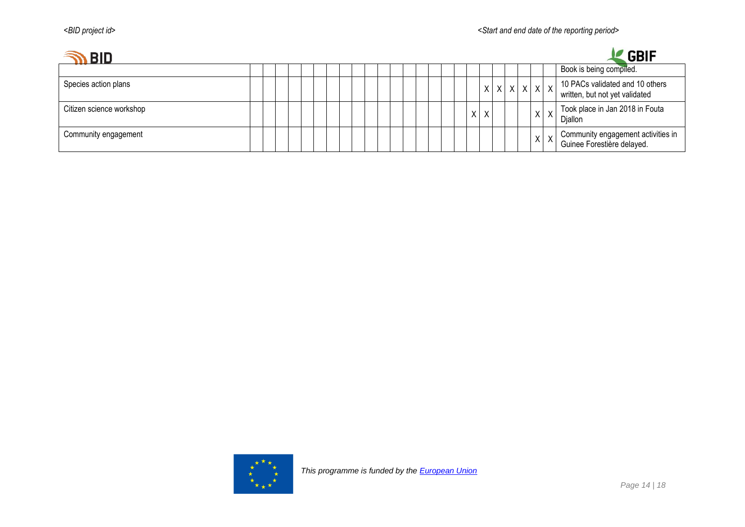| $\Lambda$ BID            |  |  |  |  |  |  |  |  |   |              |  |  |          |                       | <b>GBIF</b>                                                       |
|--------------------------|--|--|--|--|--|--|--|--|---|--------------|--|--|----------|-----------------------|-------------------------------------------------------------------|
|                          |  |  |  |  |  |  |  |  |   |              |  |  |          |                       | Book is being compiled.                                           |
| Species action plans     |  |  |  |  |  |  |  |  |   |              |  |  |          | x   x   x   x   x   x | 10 PACs validated and 10 others<br>written, but not yet validated |
| Citizen science workshop |  |  |  |  |  |  |  |  | X | $\mathsf{X}$ |  |  | $\times$ | $\mathsf{X}$          | Took place in Jan 2018 in Fouta<br>Diallon                        |
| Community engagement     |  |  |  |  |  |  |  |  |   |              |  |  |          | $X$ $X$               | Community engagement activities in<br>Guinee Forestière delayed.  |

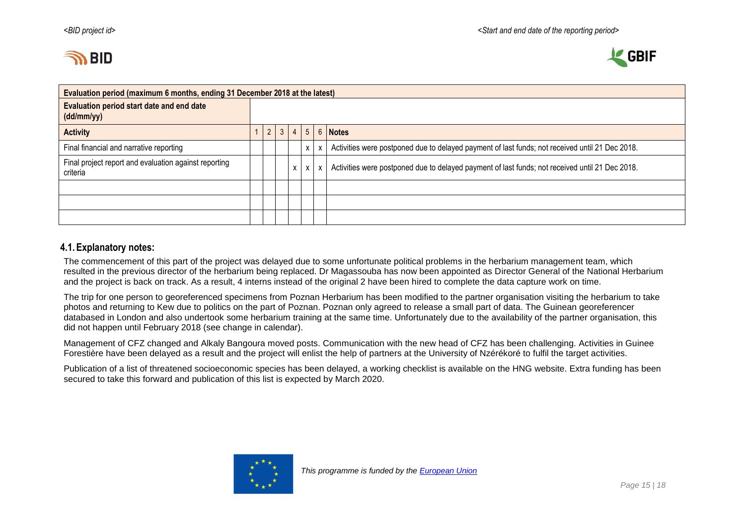



| Evaluation period (maximum 6 months, ending 31 December 2018 at the latest) |   |   |                |                |              |                                                                                                 |
|-----------------------------------------------------------------------------|---|---|----------------|----------------|--------------|-------------------------------------------------------------------------------------------------|
| Evaluation period start date and end date<br>(dd/mm/yy)                     |   |   |                |                |              |                                                                                                 |
| <b>Activity</b>                                                             | 2 | 3 | $\overline{4}$ | 5 <sup>1</sup> |              | 6 Notes                                                                                         |
| Final financial and narrative reporting                                     |   |   |                | X              | X            | Activities were postponed due to delayed payment of last funds; not received until 21 Dec 2018. |
| Final project report and evaluation against reporting<br>criteria           |   |   | X              | $\mathsf{X}$   | $\mathsf{x}$ | Activities were postponed due to delayed payment of last funds; not received until 21 Dec 2018. |
|                                                                             |   |   |                |                |              |                                                                                                 |
|                                                                             |   |   |                |                |              |                                                                                                 |
|                                                                             |   |   |                |                |              |                                                                                                 |

#### **4.1.Explanatory notes:**

The commencement of this part of the project was delayed due to some unfortunate political problems in the herbarium management team, which resulted in the previous director of the herbarium being replaced. Dr Magassouba has now been appointed as Director General of the National Herbarium and the project is back on track. As a result, 4 interns instead of the original 2 have been hired to complete the data capture work on time.

The trip for one person to georeferenced specimens from Poznan Herbarium has been modified to the partner organisation visiting the herbarium to take photos and returning to Kew due to politics on the part of Poznan. Poznan only agreed to release a small part of data. The Guinean georeferencer databased in London and also undertook some herbarium training at the same time. Unfortunately due to the availability of the partner organisation, this did not happen until February 2018 (see change in calendar).

Management of CFZ changed and Alkaly Bangoura moved posts. Communication with the new head of CFZ has been challenging. Activities in Guinee Forestière have been delayed as a result and the project will enlist the help of partners at the University of Nzérékoré to fulfil the target activities.

Publication of a list of threatened socioeconomic species has been delayed, a working checklist is available on the HNG website. Extra funding has been secured to take this forward and publication of this list is expected by March 2020.

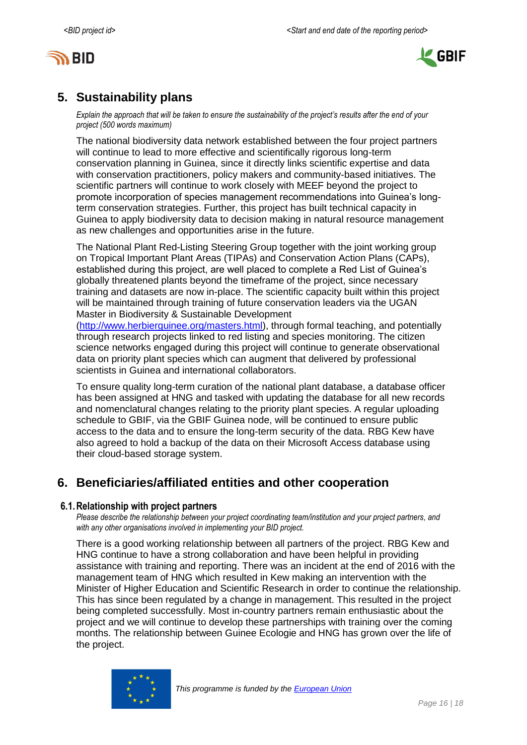



# <span id="page-15-0"></span>**5. Sustainability plans**

*Explain the approach that will be taken to ensure the sustainability of the project's results after the end of your project (500 words maximum)*

The national biodiversity data network established between the four project partners will continue to lead to more effective and scientifically rigorous long-term conservation planning in Guinea, since it directly links scientific expertise and data with conservation practitioners, policy makers and community-based initiatives. The scientific partners will continue to work closely with MEEF beyond the project to promote incorporation of species management recommendations into Guinea's longterm conservation strategies. Further, this project has built technical capacity in Guinea to apply biodiversity data to decision making in natural resource management as new challenges and opportunities arise in the future.

The National Plant Red-Listing Steering Group together with the joint working group on Tropical Important Plant Areas (TIPAs) and Conservation Action Plans (CAPs), established during this project, are well placed to complete a Red List of Guinea's globally threatened plants beyond the timeframe of the project, since necessary training and datasets are now in-place. The scientific capacity built within this project will be maintained through training of future conservation leaders via the UGAN Master in Biodiversity & Sustainable Development

[\(http://www.herbierguinee.org/masters.html\)](http://www.herbierguinee.org/masters.html), through formal teaching, and potentially through research projects linked to red listing and species monitoring. The citizen science networks engaged during this project will continue to generate observational data on priority plant species which can augment that delivered by professional scientists in Guinea and international collaborators.

To ensure quality long-term curation of the national plant database, a database officer has been assigned at HNG and tasked with updating the database for all new records and nomenclatural changes relating to the priority plant species. A regular uploading schedule to GBIF, via the GBIF Guinea node, will be continued to ensure public access to the data and to ensure the long-term security of the data. RBG Kew have also agreed to hold a backup of the data on their Microsoft Access database using their cloud-based storage system.

# <span id="page-15-1"></span>**6. Beneficiaries/affiliated entities and other cooperation**

#### **6.1.Relationship with project partners**

*Please describe the relationship between your project coordinating team/institution and your project partners, and with any other organisations involved in implementing your BID project.*

There is a good working relationship between all partners of the project. RBG Kew and HNG continue to have a strong collaboration and have been helpful in providing assistance with training and reporting. There was an incident at the end of 2016 with the management team of HNG which resulted in Kew making an intervention with the Minister of Higher Education and Scientific Research in order to continue the relationship. This has since been regulated by a change in management. This resulted in the project being completed successfully. Most in-country partners remain enthusiastic about the project and we will continue to develop these partnerships with training over the coming months. The relationship between Guinee Ecologie and HNG has grown over the life of the project.

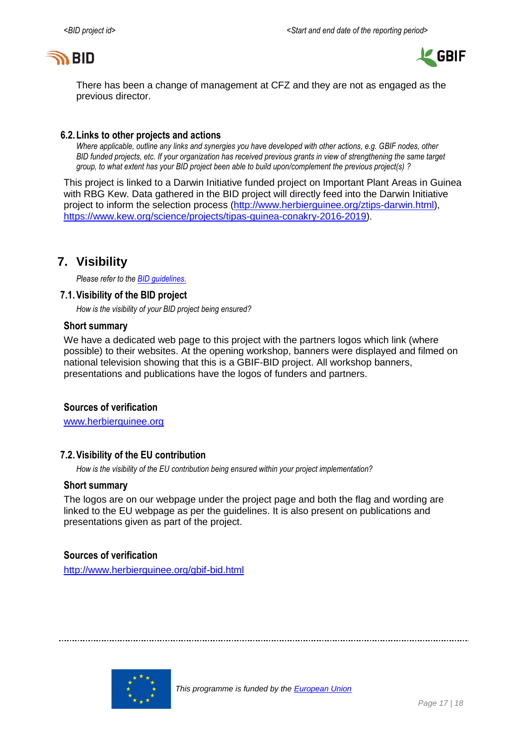



There has been a change of management at CFZ and they are not as engaged as the previous director.

#### **6.2.Links to other projects and actions**

*Where applicable, outline any links and synergies you have developed with other actions, e.g. GBIF nodes, other BID funded projects, etc. If your organization has received previous grants in view of strengthening the same target group, to what extent has your BID project been able to build upon/complement the previous project(s) ?*

This project is linked to a Darwin Initiative funded project on Important Plant Areas in Guinea with RBG Kew. Data gathered in the BID project will directly feed into the Darwin Initiative project to inform the selection process [\(http://www.herbierguinee.org/ztips-darwin.html\)](http://www.herbierguinee.org/ztips-darwin.html), [https://www.kew.org/science/projects/tipas-guinea-conakry-2016-2019\)](https://www.kew.org/science/projects/tipas-guinea-conakry-2016-2019).

# <span id="page-16-0"></span>**7. Visibility**

*Please refer to th[e BID guidelines.](http://bid.gbif.org/en/community/communication-guidelines/)*

#### **7.1.Visibility of the BID project**

*How is the visibility of your BID project being ensured?*

#### **Short summary**

We have a dedicated web page to this project with the partners logos which link (where possible) to their websites. At the opening workshop, banners were displayed and filmed on national television showing that this is a GBIF-BID project. All workshop banners, presentations and publications have the logos of funders and partners.

#### **Sources of verification**

[www.herbierguinee.org](http://www.herbierguinee.org/)

#### **7.2.Visibility of the EU contribution**

*How is the visibility of the EU contribution being ensured within your project implementation?*

#### **Short summary**

The logos are on our webpage under the project page and both the flag and wording are linked to the EU webpage as per the guidelines. It is also present on publications and presentations given as part of the project.

#### **Sources of verification**

<http://www.herbierguinee.org/gbif-bid.html>